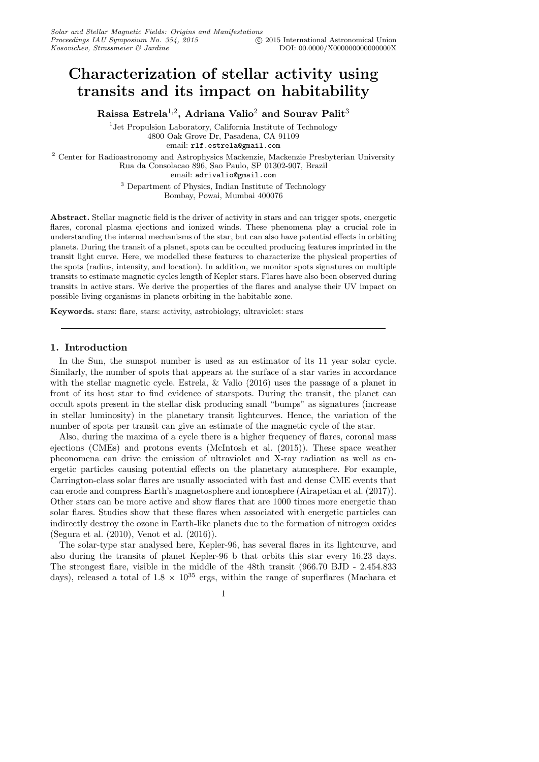# Characterization of stellar activity using transits and its impact on habitability

Raissa Estrela $^{1,2}$ , Adriana Valio $^2$  and Sourav Palit $^3$ 

<sup>1</sup> Jet Propulsion Laboratory, California Institute of Technology 4800 Oak Grove Dr, Pasadena, CA 91109 email: rlf.estrela@gmail.com <sup>2</sup> Center for Radioastronomy and Astrophysics Mackenzie, Mackenzie Presbyterian University

Rua da Consolacao 896, Sao Paulo, SP 01302-907, Brazil

email: adrivalio@gmail.com

<sup>3</sup> Department of Physics, Indian Institute of Technology Bombay, Powai, Mumbai 400076

Abstract. Stellar magnetic field is the driver of activity in stars and can trigger spots, energetic flares, coronal plasma ejections and ionized winds. These phenomena play a crucial role in understanding the internal mechanisms of the star, but can also have potential effects in orbiting planets. During the transit of a planet, spots can be occulted producing features imprinted in the transit light curve. Here, we modelled these features to characterize the physical properties of the spots (radius, intensity, and location). In addition, we monitor spots signatures on multiple transits to estimate magnetic cycles length of Kepler stars. Flares have also been observed during transits in active stars. We derive the properties of the flares and analyse their UV impact on possible living organisms in planets orbiting in the habitable zone.

Keywords. stars: flare, stars: activity, astrobiology, ultraviolet: stars

# 1. Introduction

In the Sun, the sunspot number is used as an estimator of its 11 year solar cycle. Similarly, the number of spots that appears at the surface of a star varies in accordance with the stellar magnetic cycle. Estrela, & Valio (2016) uses the passage of a planet in front of its host star to find evidence of starspots. During the transit, the planet can occult spots present in the stellar disk producing small "bumps" as signatures (increase in stellar luminosity) in the planetary transit lightcurves. Hence, the variation of the number of spots per transit can give an estimate of the magnetic cycle of the star.

Also, during the maxima of a cycle there is a higher frequency of flares, coronal mass ejections (CMEs) and protons events (McIntosh et al. (2015)). These space weather pheonomena can drive the emission of ultraviolet and X-ray radiation as well as energetic particles causing potential effects on the planetary atmosphere. For example, Carrington-class solar flares are usually associated with fast and dense CME events that can erode and compress Earth's magnetosphere and ionosphere (Airapetian et al. (2017)). Other stars can be more active and show flares that are 1000 times more energetic than solar flares. Studies show that these flares when associated with energetic particles can indirectly destroy the ozone in Earth-like planets due to the formation of nitrogen oxides (Segura et al. (2010), Venot et al. (2016)).

The solar-type star analysed here, Kepler-96, has several flares in its lightcurve, and also during the transits of planet Kepler-96 b that orbits this star every 16.23 days. The strongest flare, visible in the middle of the 48th transit (966.70 BJD - 2.454.833 days), released a total of  $1.8 \times 10^{35}$  ergs, within the range of superflares (Maehara et

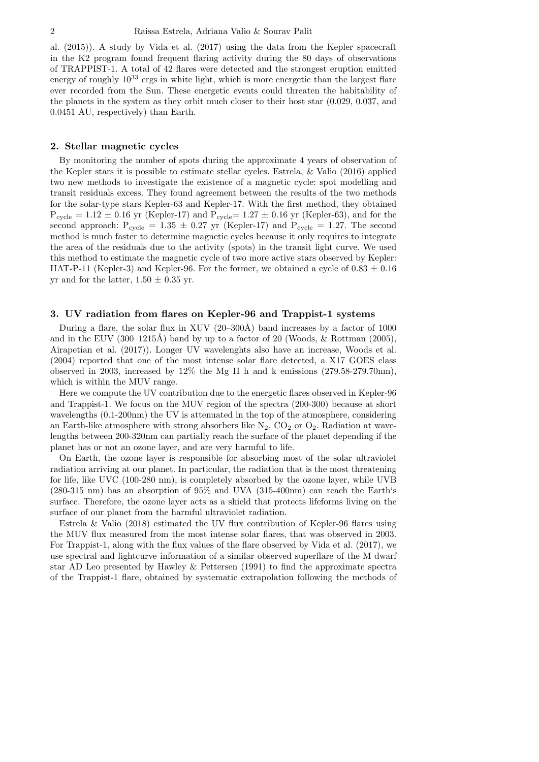al. (2015)). A study by Vida et al. (2017) using the data from the Kepler spacecraft in the K2 program found frequent flaring activity during the 80 days of observations of TRAPPIST-1. A total of 42 flares were detected and the strongest eruption emitted energy of roughly  $10^{33}$  ergs in white light, which is more energetic than the largest flare ever recorded from the Sun. These energetic events could threaten the habitability of the planets in the system as they orbit much closer to their host star (0.029, 0.037, and 0.0451 AU, respectively) than Earth.

#### 2. Stellar magnetic cycles

By monitoring the number of spots during the approximate 4 years of observation of the Kepler stars it is possible to estimate stellar cycles. Estrela, & Valio (2016) applied two new methods to investigate the existence of a magnetic cycle: spot modelling and transit residuals excess. They found agreement between the results of the two methods for the solar-type stars Kepler-63 and Kepler-17. With the first method, they obtained  $P_{\text{cycle}} = 1.12 \pm 0.16$  yr (Kepler-17) and  $P_{\text{cycle}} = 1.27 \pm 0.16$  yr (Kepler-63), and for the second approach:  $P_{cycle} = 1.35 \pm 0.27$  yr (Kepler-17) and  $P_{cycle} = 1.27$ . The second method is much faster to determine magnetic cycles because it only requires to integrate the area of the residuals due to the activity (spots) in the transit light curve. We used this method to estimate the magnetic cycle of two more active stars observed by Kepler: HAT-P-11 (Kepler-3) and Kepler-96. For the former, we obtained a cycle of  $0.83 \pm 0.16$ yr and for the latter,  $1.50 \pm 0.35$  yr.

### 3. UV radiation from flares on Kepler-96 and Trappist-1 systems

During a flare, the solar flux in XUV  $(20-300\text{\AA})$  band increases by a factor of 1000 and in the EUV  $(300-1215\text{\AA})$  band by up to a factor of 20 (Woods, & Rottman (2005), Airapetian et al. (2017)). Longer UV wavelenghts also have an increase, Woods et al. (2004) reported that one of the most intense solar flare detected, a X17 GOES class observed in 2003, increased by 12% the Mg II h and k emissions (279.58-279.70nm), which is within the MUV range.

Here we compute the UV contribution due to the energetic flares observed in Kepler-96 and Trappist-1. We focus on the MUV region of the spectra (200-300) because at short wavelengths (0.1-200nm) the UV is attenuated in the top of the atmosphere, considering an Earth-like atmosphere with strong absorbers like  $N_2$ ,  $CO_2$  or  $O_2$ . Radiation at wavelengths between 200-320nm can partially reach the surface of the planet depending if the planet has or not an ozone layer, and are very harmful to life.

On Earth, the ozone layer is responsible for absorbing most of the solar ultraviolet radiation arriving at our planet. In particular, the radiation that is the most threatening for life, like UVC (100-280 nm), is completely absorbed by the ozone layer, while UVB (280-315 nm) has an absorption of 95% and UVA (315-400nm) can reach the Earth's surface. Therefore, the ozone layer acts as a shield that protects lifeforms living on the surface of our planet from the harmful ultraviolet radiation.

Estrela & Valio (2018) estimated the UV flux contribution of Kepler-96 flares using the MUV flux measured from the most intense solar flares, that was observed in 2003. For Trappist-1, along with the flux values of the flare observed by Vida et al. (2017), we use spectral and lightcurve information of a similar observed superflare of the M dwarf star AD Leo presented by Hawley & Pettersen (1991) to find the approximate spectra of the Trappist-1 flare, obtained by systematic extrapolation following the methods of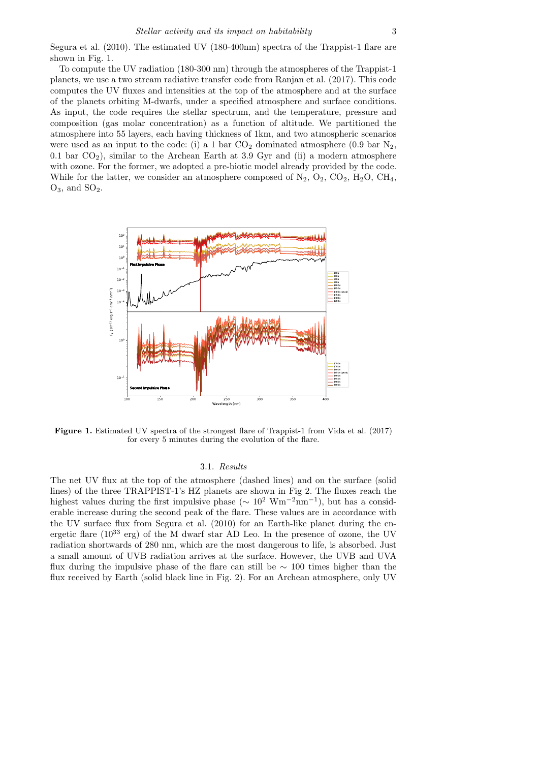Segura et al. (2010). The estimated UV (180-400nm) spectra of the Trappist-1 flare are shown in Fig. 1.

To compute the UV radiation (180-300 nm) through the atmospheres of the Trappist-1 planets, we use a two stream radiative transfer code from Ranjan et al. (2017). This code computes the UV fluxes and intensities at the top of the atmosphere and at the surface of the planets orbiting M-dwarfs, under a specified atmosphere and surface conditions. As input, the code requires the stellar spectrum, and the temperature, pressure and composition (gas molar concentration) as a function of altitude. We partitioned the atmosphere into 55 layers, each having thickness of 1km, and two atmospheric scenarios were used as an input to the code: (i) a 1 bar  $CO<sub>2</sub>$  dominated atmosphere (0.9 bar  $N<sub>2</sub>$ , 0.1 bar  $CO<sub>2</sub>$ ), similar to the Archean Earth at 3.9 Gyr and (ii) a modern atmosphere with ozone. For the former, we adopted a pre-biotic model already provided by the code. While for the latter, we consider an atmosphere composed of  $N_2$ ,  $O_2$ ,  $CO_2$ ,  $H_2O$ ,  $CH_4$ ,  $O_3$ , and  $SO_2$ .



Figure 1. Estimated UV spectra of the strongest flare of Trappist-1 from Vida et al. (2017) for every 5 minutes during the evolution of the flare.

#### 3.1. Results

The net UV flux at the top of the atmosphere (dashed lines) and on the surface (solid lines) of the three TRAPPIST-1's HZ planets are shown in Fig 2. The fluxes reach the highest values during the first impulsive phase ( $\sim 10^2 \text{ Wm}^{-2} \text{nm}^{-1}$ ), but has a considerable increase during the second peak of the flare. These values are in accordance with the UV surface flux from Segura et al. (2010) for an Earth-like planet during the energetic flare  $(10^{33} \text{ erg})$  of the M dwarf star AD Leo. In the presence of ozone, the UV radiation shortwards of 280 nm, which are the most dangerous to life, is absorbed. Just a small amount of UVB radiation arrives at the surface. However, the UVB and UVA flux during the impulsive phase of the flare can still be ∼ 100 times higher than the flux received by Earth (solid black line in Fig. 2). For an Archean atmosphere, only UV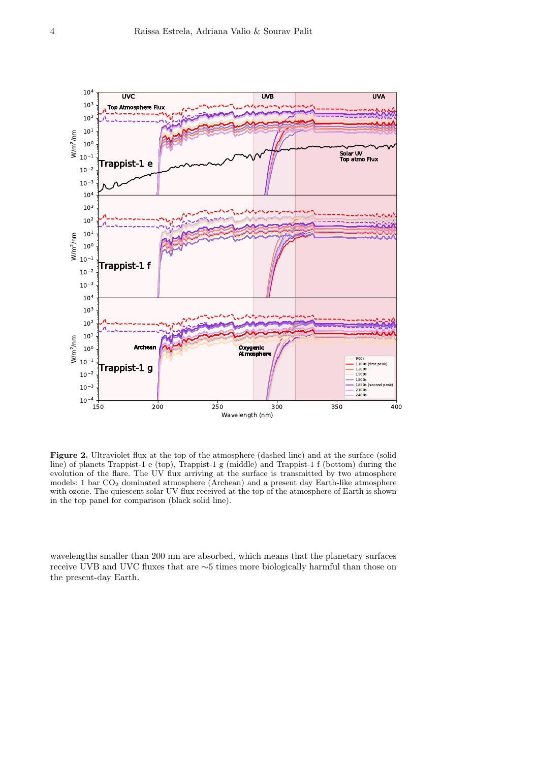

Figure 2. Ultraviolet flux at the top of the atmosphere (dashed line) and at the surface (solid line) of planets Trappist-1 e (top), Trappist-1 g (middle) and Trappist-1 f (bottom) during the evolution of the flare. The UV flux arriving at the surface is transmitted by two atmosphere models: 1 bar  $CO<sub>2</sub>$  dominated atmosphere (Archean) and a present day Earth-like atmosphere with ozone. The quiescent solar UV flux received at the top of the atmosphere of Earth is shown in the top panel for comparison (black solid line).

wavelengths smaller than 200 nm are absorbed, which means that the planetary surfaces receive UVB and UVC fluxes that are ∼5 times more biologically harmful than those on the present-day Earth.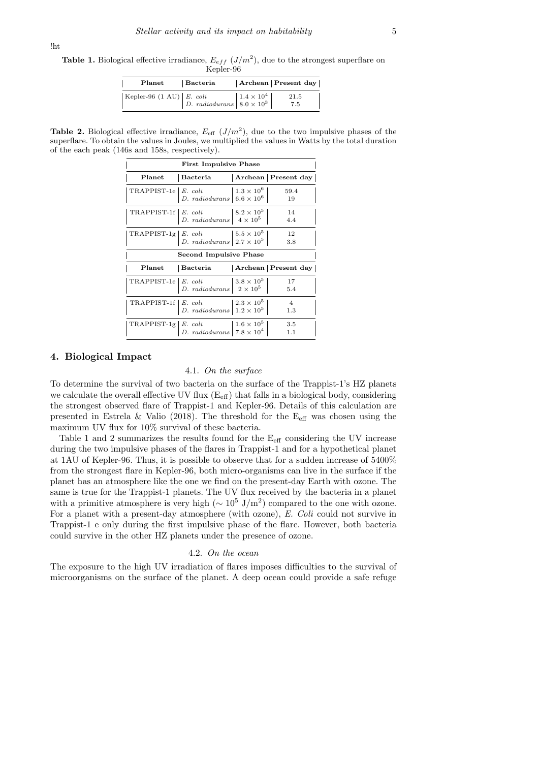**Table 1.** Biological effective irradiance,  $E_{eff}$   $(J/m^2)$ , due to the strongest superflare on Kepler-96

| Planet                             | Bacteria                                                                                                                                                                | Archean Present day |
|------------------------------------|-------------------------------------------------------------------------------------------------------------------------------------------------------------------------|---------------------|
| Kepler-96 $(1 \text{ AU})$ E. coli | $\left  \begin{array}{c} E.~coli \\ D.~radio durans \end{array} \right  1.4 \times 10^4 \left  \begin{array}{c} 1.4 \times 10^4 \\ 8.0 \times 10^3 \end{array} \right $ | 21.5<br>7.5         |

**Table 2.** Biological effective irradiance,  $E_{\text{eff}}(J/m^2)$ , due to the two impulsive phases of the superflare. To obtain the values in Joules, we multiplied the values in Watts by the total duration of the each peak (146s and 158s, respectively).

| <b>First Impulsive Phase</b>  |                                                                                                                                                                |  |                       |  |  |
|-------------------------------|----------------------------------------------------------------------------------------------------------------------------------------------------------------|--|-----------------------|--|--|
|                               | Planet Bacteria                                                                                                                                                |  | Archean   Present day |  |  |
|                               | TRAPPIST-1e $\begin{array}{ l l } E. \,\, coli & 1.3 \times 10^6 \\ D. \,\, radiodurans & 6.6 \times 10^6 \end{array}$                                         |  | 59.4<br>19            |  |  |
| TRAPPIST-1f   E. coli         | $\begin{array}{ l l } E. & coli & 8.2 \times 10^5 \\ D. & radiodurans & 4 \times 10^5 \end{array}$                                                             |  | -14<br>4.4            |  |  |
|                               | TRAPPIST-1g $\begin{array}{ l }\nE. \text{ coli} \\ D. \text{ radiodurans}\n\end{array}$ $\begin{array}{ l }\n5.5 \times 10^5 \\ 2.7 \times 10^5\n\end{array}$ |  | - 12<br>3.8           |  |  |
| <b>Second Impulsive Phase</b> |                                                                                                                                                                |  |                       |  |  |
|                               | Planet   Bacteria   Archean   Present day                                                                                                                      |  |                       |  |  |
|                               | TRAPPIST-1e $\begin{array}{ l }\nE.\,\,coli & 3.8 \times 10^5 \\ D.\,\,radiodurans & 2 \times 10^5\n\end{array}$                                               |  | - 17<br>5.4           |  |  |
| TRAPPIST-1f   E. coli         | $\begin{array}{ l l }\nE. & coli & 2.3 \times 10^5 \\ D. & radiodurans & 1.2 \times 10^5\n\end{array}$                                                         |  | $\overline{4}$<br>1.3 |  |  |
| TRAPPIST-1g $E.$ coli         | <i>E. coli</i><br><i>D. radiodurans</i> $\begin{vmatrix} 1.6 \times 10^5 \\ 7.8 \times 10^4 \end{vmatrix}$                                                     |  | -3.5<br>1.1           |  |  |

### 4. Biological Impact

# 4.1. On the surface

To determine the survival of two bacteria on the surface of the Trappist-1's HZ planets we calculate the overall effective UV flux  $(E_{\text{eff}})$  that falls in a biological body, considering the strongest observed flare of Trappist-1 and Kepler-96. Details of this calculation are presented in Estrela & Valio (2018). The threshold for the  $E_{\text{eff}}$  was chosen using the maximum UV flux for 10% survival of these bacteria.

Table 1 and 2 summarizes the results found for the  $E_{\text{eff}}$  considering the UV increase during the two impulsive phases of the flares in Trappist-1 and for a hypothetical planet at 1AU of Kepler-96. Thus, it is possible to observe that for a sudden increase of 5400% from the strongest flare in Kepler-96, both micro-organisms can live in the surface if the planet has an atmosphere like the one we find on the present-day Earth with ozone. The same is true for the Trappist-1 planets. The UV flux received by the bacteria in a planet with a primitive atmosphere is very high ( $\sim 10^5$  J/m<sup>2</sup>) compared to the one with ozone. For a planet with a present-day atmosphere (with ozone), E. Coli could not survive in Trappist-1 e only during the first impulsive phase of the flare. However, both bacteria could survive in the other HZ planets under the presence of ozone.

# 4.2. On the ocean

The exposure to the high UV irradiation of flares imposes difficulties to the survival of microorganisms on the surface of the planet. A deep ocean could provide a safe refuge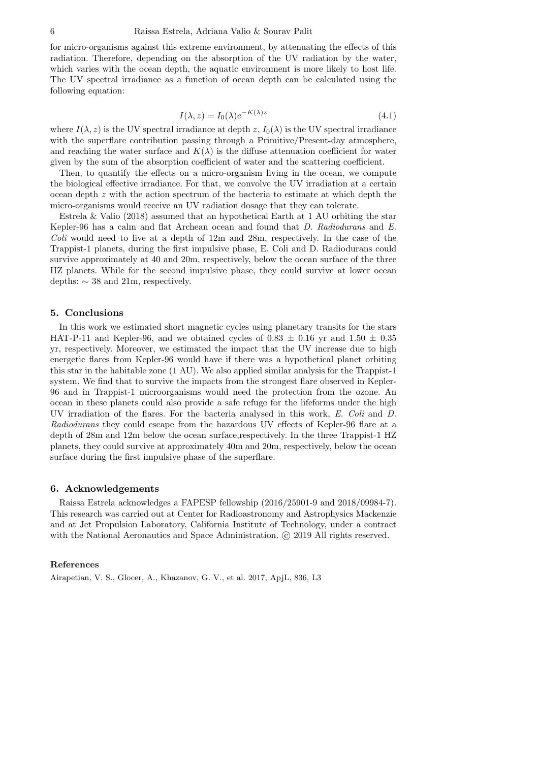for micro-organisms against this extreme environment, by attenuating the effects of this radiation. Therefore, depending on the absorption of the UV radiation by the water, which varies with the ocean depth, the aquatic environment is more likely to host life. The UV spectral irradiance as a function of ocean depth can be calculated using the following equation:

$$
I(\lambda, z) = I_0(\lambda)e^{-K(\lambda)z}
$$
\n(4.1)

where  $I(\lambda, z)$  is the UV spectral irradiance at depth  $z, I_0(\lambda)$  is the UV spectral irradiance with the superflare contribution passing through a Primitive/Present-day atmosphere, and reaching the water surface and  $K(\lambda)$  is the diffuse attenuation coefficient for water given by the sum of the absorption coefficient of water and the scattering coefficient.

Then, to quantify the effects on a micro-organism living in the ocean, we compute the biological effective irradiance. For that, we convolve the UV irradiation at a certain ocean depth z with the action spectrum of the bacteria to estimate at which depth the micro-organisms would receive an UV radiation dosage that they can tolerate.

Estrela & Valio (2018) assumed that an hypothetical Earth at 1 AU orbiting the star Kepler-96 has a calm and flat Archean ocean and found that D. Radiodurans and E. Coli would need to live at a depth of  $12m$  and  $28m$ , respectively. In the case of the Trappist-1 planets, during the first impulsive phase, E. Coli and D. Radiodurans could survive approximately at 40 and 20m, respectively, below the ocean surface of the three HZ planets. While for the second impulsive phase, they could survive at lower ocean depths:  $\sim$  38 and 21m, respectively.

# 5. Conclusions

In this work we estimated short magnetic cycles using planetary transits for the stars HAT-P-11 and Kepler-96, and we obtained cycles of  $0.83 \pm 0.16$  yr and  $1.50 \pm 0.35$ yr, respectively. Moreover, we estimated the impact that the UV increase due to high energetic flares from Kepler-96 would have if there was a hypothetical planet orbiting this star in the habitable zone (1 AU). We also applied similar analysis for the Trappist-1 system. We find that to survive the impacts from the strongest flare observed in Kepler-96 and in Trappist-1 microorganisms would need the protection from the ozone. An ocean in these planets could also provide a safe refuge for the lifeforms under the high UV irradiation of the flares. For the bacteria analysed in this work, E. Coli and D. Radiodurans they could escape from the hazardous UV effects of Kepler-96 flare at a depth of 28m and 12m below the ocean surface,respectively. In the three Trappist-1 HZ planets, they could survive at approximately 40m and 20m, respectively, below the ocean surface during the first impulsive phase of the superflare.

### 6. Acknowledgements

Raissa Estrela acknowledges a FAPESP fellowship (2016/25901-9 and 2018/09984-7). This research was carried out at Center for Radioastronomy and Astrophysics Mackenzie and at Jet Propulsion Laboratory, California Institute of Technology, under a contract with the National Aeronautics and Space Administration. C 2019 All rights reserved.

# References

Airapetian, V. S., Glocer, A., Khazanov, G. V., et al. 2017, ApjL, 836, L3